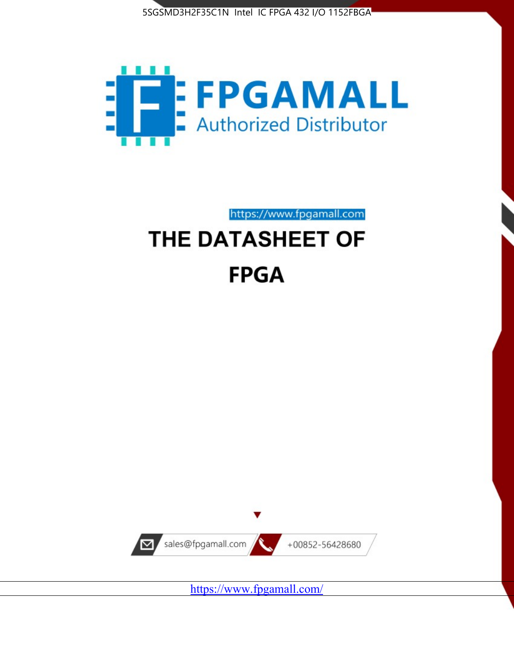



https://www.fpgamall.com

# THE DATASHEET OF **FPGA**



<https://www.fpgamall.com/>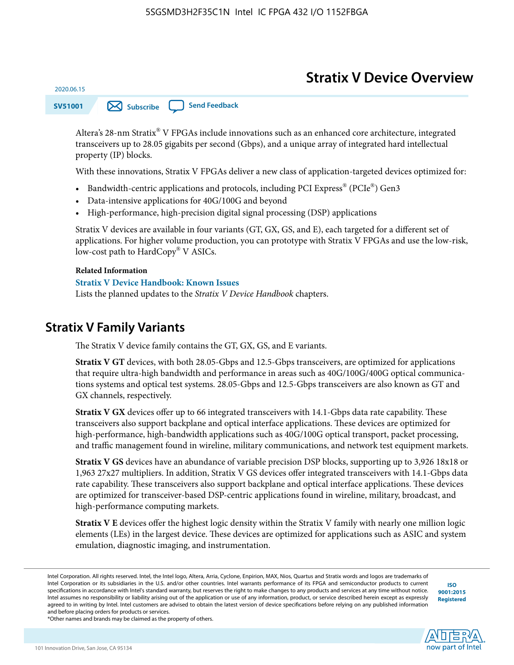# **Stratix V Device Overview**

**SV51001 [Subscribe](https://www.altera.com/servlets/subscriptions/alert?id=SV51001) [Send Feedback](mailto:FPGAtechdocfeedback@intel.com?subject=Feedback%20on%20(SV51001%202020.06.15)%20Stratix%20V%20Device%20Overview&body=We%20appreciate%20your%20feedback.%20In%20your%20comments,%20also%20specify%20the%20page%20number%20or%20paragraph.%20Thank%20you.)** 

Altera's 28-nm Stratix® V FPGAs include innovations such as an enhanced core architecture, integrated transceivers up to 28.05 gigabits per second (Gbps), and a unique array of integrated hard intellectual property (IP) blocks.

With these innovations, Stratix V FPGAs deliver a new class of application-targeted devices optimized for:

- Bandwidth-centric applications and protocols, including PCI Express® (PCIe®) Gen3
- Data-intensive applications for 40G/100G and beyond
- High-performance, high-precision digital signal processing (DSP) applications

Stratix V devices are available in four variants (GT, GX, GS, and E), each targeted for a different set of applications. For higher volume production, you can prototype with Stratix V FPGAs and use the low-risk, low-cost path to HardCopy® V ASICs.

#### **Related Information**

2020.06.15

#### **[Stratix V Device Handbook: Known Issues](http://www.altera.com/support/kdb/solutions/rd08242010_83.html)**

Lists the planned updates to the *Stratix V Device Handbook* chapters.

### **Stratix V Family Variants**

The Stratix V device family contains the GT, GX, GS, and E variants.

**Stratix V GT** devices, with both 28.05-Gbps and 12.5-Gbps transceivers, are optimized for applications that require ultra-high bandwidth and performance in areas such as 40G/100G/400G optical communica‐ tions systems and optical test systems. 28.05-Gbps and 12.5-Gbps transceivers are also known as GT and GX channels, respectively.

**Stratix V GX** devices offer up to 66 integrated transceivers with 14.1-Gbps data rate capability. These transceivers also support backplane and optical interface applications. These devices are optimized for high-performance, high-bandwidth applications such as 40G/100G optical transport, packet processing, and traffic management found in wireline, military communications, and network test equipment markets.

**Stratix V GS** devices have an abundance of variable precision DSP blocks, supporting up to 3,926 18x18 or 1,963 27x27 multipliers. In addition, Stratix V GS devices offer integrated transceivers with 14.1-Gbps data rate capability. These transceivers also support backplane and optical interface applications. These devices are optimized for transceiver-based DSP-centric applications found in wireline, military, broadcast, and high-performance computing markets.

**Stratix V E** devices offer the highest logic density within the Stratix V family with nearly one million logic elements (LEs) in the largest device. These devices are optimized for applications such as ASIC and system emulation, diagnostic imaging, and instrumentation.

**[ISO](http://www.altera.com/support/devices/reliability/certifications/rel-certifications.html) [9001:2015](http://www.altera.com/support/devices/reliability/certifications/rel-certifications.html) [Registered](http://www.altera.com/support/devices/reliability/certifications/rel-certifications.html)**



\*Other names and brands may be claimed as the property of others.

Intel Corporation. All rights reserved. Intel, the Intel logo, Altera, Arria, Cyclone, Enpirion, MAX, Nios, Quartus and Stratix words and logos are trademarks of Intel Corporation or its subsidiaries in the U.S. and/or other countries. Intel warrants performance of its FPGA and semiconductor products to current specifications in accordance with Intel's standard warranty, but reserves the right to make changes to any products and services at any time without notice. Intel assumes no responsibility or liability arising out of the application or use of any information, product, or service described herein except as expressly agreed to in writing by Intel. Intel customers are advised to obtain the latest version of device specifications before relying on any published information and before placing orders for products or services.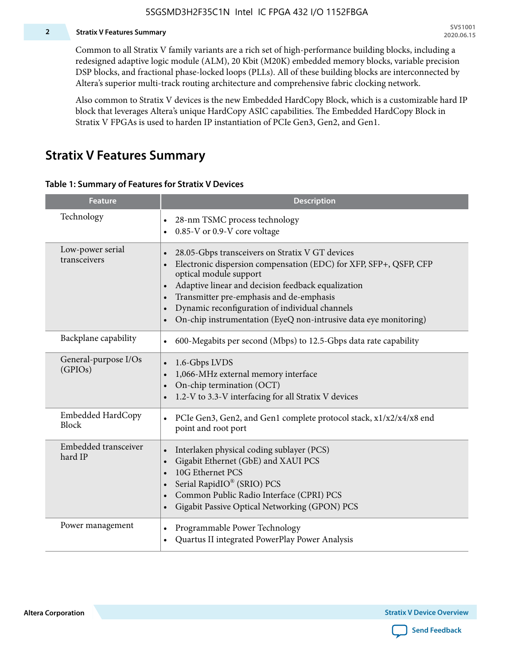#### **2 Stratix V Features Summary**

Common to all Stratix V family variants are a rich set of high-performance building blocks, including a redesigned adaptive logic module (ALM), 20 Kbit (M20K) embedded memory blocks, variable precision DSP blocks, and fractional phase-locked loops (PLLs). All of these building blocks are interconnected by Altera's superior multi-track routing architecture and comprehensive fabric clocking network.

Also common to Stratix V devices is the new Embedded HardCopy Block, which is a customizable hard IP block that leverages Altera's unique HardCopy ASIC capabilities. The Embedded HardCopy Block in Stratix V FPGAs is used to harden IP instantiation of PCIe Gen3, Gen2, and Gen1.

### **Stratix V Features Summary**

#### **Table 1: Summary of Features for Stratix V Devices**

| <b>Feature</b>                   | <b>Description</b>                                                                                                                                                                                                                                                                                                                                                                                                         |
|----------------------------------|----------------------------------------------------------------------------------------------------------------------------------------------------------------------------------------------------------------------------------------------------------------------------------------------------------------------------------------------------------------------------------------------------------------------------|
| Technology                       | 28-nm TSMC process technology<br>0.85-V or 0.9-V core voltage                                                                                                                                                                                                                                                                                                                                                              |
| Low-power serial<br>transceivers | 28.05-Gbps transceivers on Stratix V GT devices<br>$\bullet$<br>Electronic dispersion compensation (EDC) for XFP, SFP+, QSFP, CFP<br>optical module support<br>Adaptive linear and decision feedback equalization<br>$\bullet$<br>Transmitter pre-emphasis and de-emphasis<br>Dynamic reconfiguration of individual channels<br>$\bullet$<br>On-chip instrumentation (EyeQ non-intrusive data eye monitoring)<br>$\bullet$ |
| Backplane capability             | 600-Megabits per second (Mbps) to 12.5-Gbps data rate capability<br>$\bullet$                                                                                                                                                                                                                                                                                                                                              |
| General-purpose I/Os<br>(GPIOs)  | 1.6-Gbps LVDS<br>1,066-MHz external memory interface<br>$\bullet$<br>On-chip termination (OCT)<br>$\bullet$<br>1.2-V to 3.3-V interfacing for all Stratix V devices                                                                                                                                                                                                                                                        |
| Embedded HardCopy<br>Block       | PCIe Gen3, Gen2, and Gen1 complete protocol stack, x1/x2/x4/x8 end<br>$\bullet$<br>point and root port                                                                                                                                                                                                                                                                                                                     |
| Embedded transceiver<br>hard IP  | Interlaken physical coding sublayer (PCS)<br>$\bullet$<br>Gigabit Ethernet (GbE) and XAUI PCS<br>$\bullet$<br>10G Ethernet PCS<br>Serial RapidIO® (SRIO) PCS<br>$\bullet$<br>Common Public Radio Interface (CPRI) PCS<br>$\bullet$<br>Gigabit Passive Optical Networking (GPON) PCS<br>$\bullet$                                                                                                                           |
| Power management                 | Programmable Power Technology<br>$\bullet$<br>Quartus II integrated PowerPlay Power Analysis<br>$\bullet$                                                                                                                                                                                                                                                                                                                  |

**Altera Corporation** 

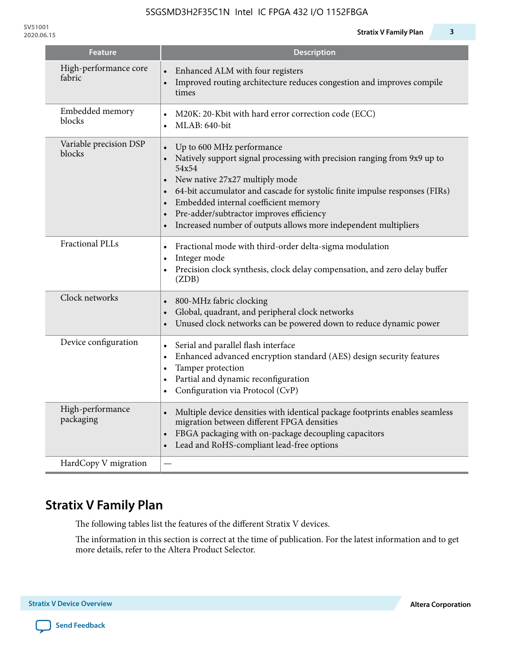**SV51001**

| <b>Feature</b>                   | <b>Description</b>                                                                                                                                                                                                                                                                                                                                                                                                                                      |
|----------------------------------|---------------------------------------------------------------------------------------------------------------------------------------------------------------------------------------------------------------------------------------------------------------------------------------------------------------------------------------------------------------------------------------------------------------------------------------------------------|
| High-performance core<br>fabric  | Enhanced ALM with four registers<br>Improved routing architecture reduces congestion and improves compile<br>times                                                                                                                                                                                                                                                                                                                                      |
| Embedded memory<br>blocks        | M20K: 20-Kbit with hard error correction code (ECC)<br>$\bullet$<br>MLAB: 640-bit<br>$\bullet$                                                                                                                                                                                                                                                                                                                                                          |
| Variable precision DSP<br>blocks | Up to 600 MHz performance<br>$\bullet$<br>Natively support signal processing with precision ranging from 9x9 up to<br>54x54<br>New native 27x27 multiply mode<br>$\bullet$<br>64-bit accumulator and cascade for systolic finite impulse responses (FIRs)<br>$\bullet$<br>Embedded internal coefficient memory<br>$\bullet$<br>Pre-adder/subtractor improves efficiency<br>$\bullet$<br>Increased number of outputs allows more independent multipliers |
| <b>Fractional PLLs</b>           | Fractional mode with third-order delta-sigma modulation<br>$\bullet$<br>Integer mode<br>$\bullet$<br>Precision clock synthesis, clock delay compensation, and zero delay buffer<br>$\bullet$<br>(ZDB)                                                                                                                                                                                                                                                   |
| Clock networks                   | 800-MHz fabric clocking<br>$\bullet$<br>Global, quadrant, and peripheral clock networks<br>$\bullet$<br>Unused clock networks can be powered down to reduce dynamic power<br>$\bullet$                                                                                                                                                                                                                                                                  |
| Device configuration             | Serial and parallel flash interface<br>$\bullet$<br>Enhanced advanced encryption standard (AES) design security features<br>$\bullet$<br>Tamper protection<br>$\bullet$<br>Partial and dynamic reconfiguration<br>$\bullet$<br>Configuration via Protocol (CvP)<br>$\bullet$                                                                                                                                                                            |
| High-performance<br>packaging    | Multiple device densities with identical package footprints enables seamless<br>$\bullet$<br>migration between different FPGA densities<br>FBGA packaging with on-package decoupling capacitors<br>$\bullet$<br>Lead and RoHS-compliant lead-free options<br>$\bullet$                                                                                                                                                                                  |
| HardCopy V migration             |                                                                                                                                                                                                                                                                                                                                                                                                                                                         |

# **Stratix V Family Plan**

The following tables list the features of the different Stratix V devices.

The information in this section is correct at the time of publication. For the latest information and to get more details, refer to the Altera Product Selector.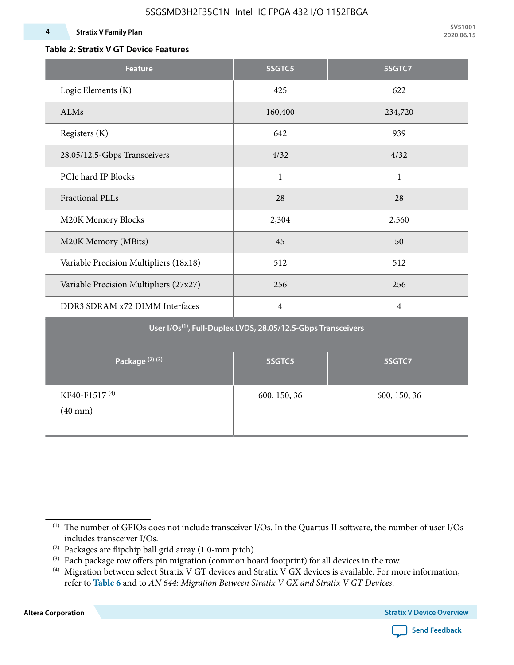### **Table 2: Stratix V GT Device Features**

| <b>Feature</b>                            | 5SGTC5                                                                    | 5SGTC7         |
|-------------------------------------------|---------------------------------------------------------------------------|----------------|
| Logic Elements (K)                        | 425                                                                       | 622            |
| ALMs                                      | 160,400                                                                   | 234,720        |
| Registers (K)                             | 642                                                                       | 939            |
| 28.05/12.5-Gbps Transceivers              | 4/32                                                                      | 4/32           |
| PCIe hard IP Blocks                       | $\mathbf{1}$                                                              | $\mathbf{1}$   |
| <b>Fractional PLLs</b>                    | 28                                                                        | 28             |
| M20K Memory Blocks                        | 2,304                                                                     | 2,560          |
| M20K Memory (MBits)                       | 45                                                                        | 50             |
| Variable Precision Multipliers (18x18)    | 512                                                                       | 512            |
| Variable Precision Multipliers (27x27)    | 256                                                                       | 256            |
| DDR3 SDRAM x72 DIMM Interfaces            | $\overline{4}$                                                            | $\overline{4}$ |
|                                           | User I/Os <sup>(1)</sup> , Full-Duplex LVDS, 28.05/12.5-Gbps Transceivers |                |
| Package <sup>(2)</sup> <sup>(3)</sup>     | 5SGTC5                                                                    | 5SGTC7         |
| KF40-F1517 <sup>(4)</sup><br>$(40$ mm $)$ | 600, 150, 36                                                              | 600, 150, 36   |

**Altera Corporation** 



<sup>(1)</sup> The number of GPIOs does not include transceiver I/Os. In the Quartus II software, the number of user I/Os includes transceiver I/Os.

 $^{(2)}$  Packages are flipchip ball grid array (1.0-mm pitch).

<sup>(3)</sup> Each package row offers pin migration (common board footprint) for all devices in the row.

<sup>(4)</sup> Migration between select Stratix V GT devices and Stratix V GX devices is available. For more information, refer to **Table 6** and to *AN 644: Migration Between Stratix V GX and Stratix V GT Devices*.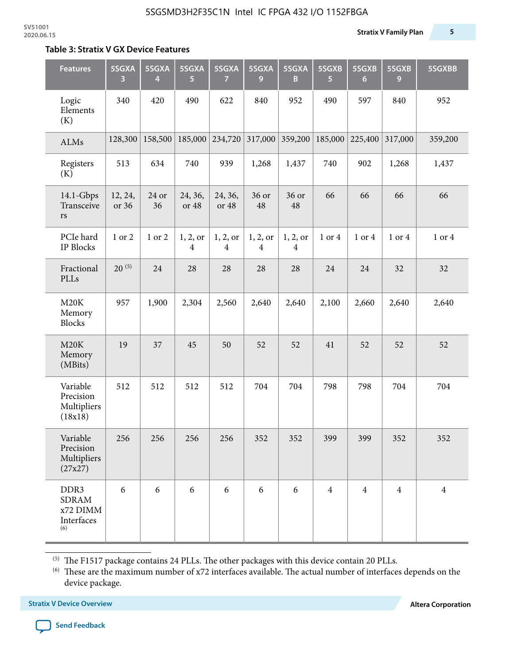#### **Table 3: Stratix V GX Device Features**

| <b>Features</b>                                                   | 5SGXA<br>3       | 5SGXA<br>4  | 5SGXA<br>5                 | 5SGXA<br>7                 | 5SGXA<br>9                 | 5SGXA<br>B                 | 5SGXB<br>5     | 5SGXB<br>$6\phantom{1}6$ | 5SGXB<br>9     | 5SGXBB         |
|-------------------------------------------------------------------|------------------|-------------|----------------------------|----------------------------|----------------------------|----------------------------|----------------|--------------------------|----------------|----------------|
| Logic<br>Elements<br>(K)                                          | 340              | 420         | 490                        | 622                        | 840                        | 952                        | 490            | 597                      | 840            | 952            |
| ALMs                                                              | 128,300          | 158,500     | 185,000                    | 234,720                    | 317,000                    | 359,200                    | 185,000        | 225,400                  | 317,000        | 359,200        |
| Registers<br>(K)                                                  | 513              | 634         | 740                        | 939                        | 1,268                      | 1,437                      | 740            | 902                      | 1,268          | 1,437          |
| $14.1$ -Gbps<br>Transceive<br>rs                                  | 12, 24,<br>or 36 | 24 or<br>36 | 24, 36,<br>or 48           | 24, 36,<br>or 48           | 36 or<br>48                | 36 or<br>48                | 66             | 66                       | 66             | 66             |
| PCIe hard<br><b>IP Blocks</b>                                     | 1 or 2           | 1 or 2      | 1, 2, 0r<br>$\overline{4}$ | 1, 2, or<br>$\overline{4}$ | 1, 2, or<br>$\overline{4}$ | 1, 2, or<br>$\overline{4}$ | 1 or 4         | 1 or 4                   | 1 or 4         | 1 or 4         |
| Fractional<br>PLLs                                                | $20^{(5)}$       | 24          | 28                         | 28                         | 28                         | 28                         | 24             | 24                       | 32             | 32             |
| M20K<br>Memory<br><b>Blocks</b>                                   | 957              | 1,900       | 2,304                      | 2,560                      | 2,640                      | 2,640                      | 2,100          | 2,660                    | 2,640          | 2,640          |
| M20K<br>Memory<br>(MBits)                                         | 19               | 37          | 45                         | 50                         | 52                         | 52                         | 41             | 52                       | 52             | 52             |
| Variable<br>Precision<br>Multipliers<br>(18x18)                   | 512              | 512         | 512                        | 512                        | 704                        | 704                        | 798            | 798                      | 704            | 704            |
| Variable<br>Precision<br>Multipliers<br>(27x27)                   | 256              | 256         | 256                        | 256                        | 352                        | 352                        | 399            | 399                      | 352            | 352            |
| DDR <sub>3</sub><br><b>SDRAM</b><br>x72 DIMM<br>Interfaces<br>(6) | 6                | 6           | 6                          | 6                          | 6                          | 6                          | $\overline{4}$ | $\overline{4}$           | $\overline{4}$ | $\overline{4}$ |

 $^{\left(5\right)}$  The F1517 package contains 24 PLLs. The other packages with this device contain 20 PLLs.

(6) These are the maximum number of x72 interfaces available. The actual number of interfaces depends on the device package.

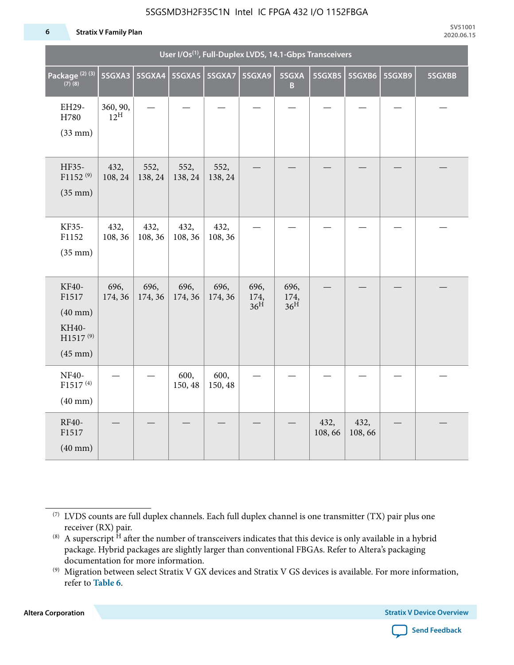#### **6 Stratix V Family Plan**

|                                                                                      |                             |                 |                 |                 | User I/Os <sup>(1)</sup> , Full-Duplex LVDS, 14.1-Gbps Transceivers |                                 |                |                |        |        |
|--------------------------------------------------------------------------------------|-----------------------------|-----------------|-----------------|-----------------|---------------------------------------------------------------------|---------------------------------|----------------|----------------|--------|--------|
| Package <sup>(2)(3)</sup><br>$(7)$ (8)                                               | 5SGXA3                      |                 |                 |                 | 5SGXA9                                                              | 5SGXA<br>B                      | 5SGXB5         | 5SGXB6         | 5SGXB9 | 5SGXBB |
| EH29-<br>H780<br>$(33$ mm $)$                                                        | 360, 90,<br>$12^{\text{H}}$ |                 |                 |                 |                                                                     |                                 |                |                |        |        |
| HF35-<br>$F1152^{(9)}$<br>$(35$ mm $)$                                               | 432,<br>108, 24             | 552,<br>138, 24 | 552,<br>138, 24 | 552,<br>138, 24 |                                                                     |                                 |                |                |        |        |
| KF35-<br>F1152<br>$(35$ mm $)$                                                       | 432,<br>108, 36             | 432,<br>108, 36 | 432,<br>108, 36 | 432,<br>108, 36 |                                                                     |                                 |                |                |        |        |
| KF40-<br>F1517<br>$(40$ mm $)$<br>KH40-<br>H1517 <sup>(9)</sup><br>$(45 \text{ mm})$ | 696,<br>174, 36             | 696,<br>174, 36 | 696,<br>174, 36 | 696,<br>174, 36 | 696,<br>174,<br>36 <sup>H</sup>                                     | 696,<br>174,<br>36 <sup>H</sup> |                |                |        |        |
| NF40-<br>F1517 <sup>(4)</sup><br>$(40$ mm $)$                                        |                             |                 | 600,<br>150, 48 | 600,<br>150, 48 |                                                                     |                                 |                |                |        |        |
| RF40-<br>F1517<br>$(40$ mm $)$                                                       |                             |                 |                 |                 |                                                                     |                                 | 432,<br>108,66 | 432,<br>108,66 |        |        |

**Altera Corporation** 



<sup>(7)</sup> LVDS counts are full duplex channels. Each full duplex channel is one transmitter (TX) pair plus one receiver (RX) pair.

<sup>(8)</sup> A superscript  $H$  after the number of transceivers indicates that this device is only available in a hybrid package. Hybrid packages are slightly larger than conventional FBGAs. Refer to Altera's packaging documentation for more information.

<sup>(9)</sup> Migration between select Stratix V GX devices and Stratix V GS devices is available. For more information, refer to **Table 6**.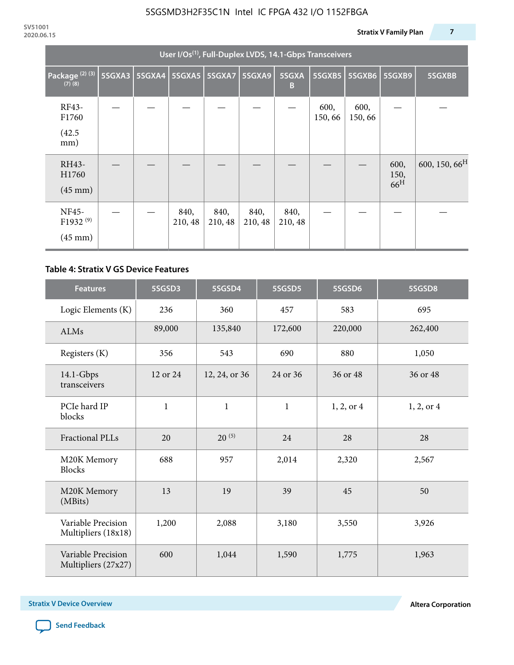|                                                    | User I/Os <sup>(1)</sup> , Full-Duplex LVDS, 14.1-Gbps Transceivers |               |                 |                 |                 |                 |                |                |                                 |                           |  |  |  |
|----------------------------------------------------|---------------------------------------------------------------------|---------------|-----------------|-----------------|-----------------|-----------------|----------------|----------------|---------------------------------|---------------------------|--|--|--|
| Package <sup>(2)(3)</sup><br>$(7)$ $(8)$           | 5SGXA3                                                              | <b>5SGXA4</b> |                 | 5SGXA5 5SGXA7   | <b>5SGXA9</b>   | 5SGXA<br>B      | 5SGXB5         | 5SGXB6         | 5SGXB9                          | 5SGXBB                    |  |  |  |
| RF43-<br>F1760<br>(42.5)<br>mm)                    |                                                                     |               |                 |                 |                 |                 | 600,<br>150,66 | 600,<br>150,66 |                                 |                           |  |  |  |
| RH43-<br>H1760<br>$(45 \text{ mm})$                |                                                                     |               |                 |                 |                 |                 |                |                | 600,<br>150,<br>66 <sup>H</sup> | 600, 150, 66 <sup>H</sup> |  |  |  |
| NF45-<br>F1932 <sup>(9)</sup><br>$(45 \text{ mm})$ |                                                                     |               | 840,<br>210, 48 | 840,<br>210, 48 | 840,<br>210, 48 | 840,<br>210, 48 |                |                |                                 |                           |  |  |  |

### **Table 4: Stratix V GS Device Features**

| <b>Features</b>                           | 5SGSD3           | 5SGSD4        | 5SGSD5       | 5SGSD6     | 5SGSD8         |
|-------------------------------------------|------------------|---------------|--------------|------------|----------------|
| Logic Elements (K)                        | 236              | 360           | 457          | 583        | 695            |
| ALMs                                      | 89,000           | 135,840       | 172,600      | 220,000    | 262,400        |
| Registers (K)                             | 356              | 543           | 690          | 880        | 1,050          |
| $14.1$ -Gbps<br>transceivers              | 12 or 24         | 12, 24, or 36 | 24 or 36     | 36 or 48   | 36 or 48       |
| PCIe hard IP<br>blocks                    | $\mathbf{1}$     |               | $\mathbf{1}$ | 1, 2, or 4 | $1, 2,$ or $4$ |
| <b>Fractional PLLs</b>                    | $20^{(5)}$<br>20 |               | 24           | 28         | 28             |
| M20K Memory<br><b>Blocks</b>              | 688              |               | 2,014        | 2,320      | 2,567          |
| M20K Memory<br>(MBits)                    | 13               |               | 39           | 45         | 50             |
| Variable Precision<br>Multipliers (18x18) | 1,200<br>2,088   |               | 3,180        | 3,550      | 3,926          |
| Variable Precision<br>Multipliers (27x27) | 600              | 1,044         | 1,590        | 1,775      | 1,963          |

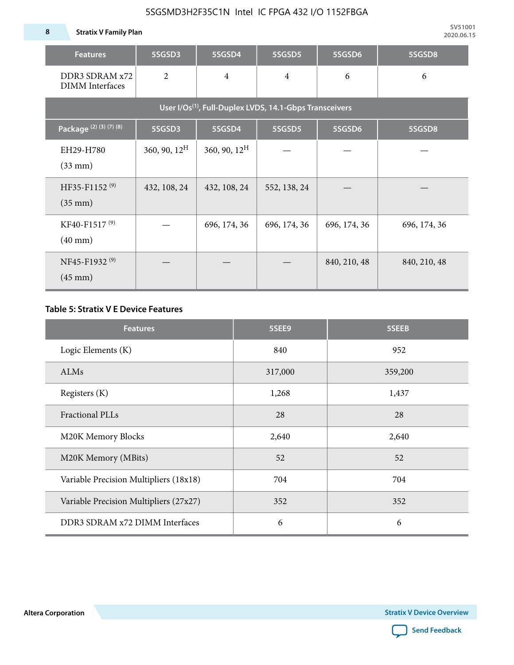**8 Stratix V Family Plan**

| <b>Features</b>                                                     | 5SGSD3                   | 5SGSD4                   | 5SGSD5         | 5SGSD6       | 5SGSD8       |  |  |  |  |  |
|---------------------------------------------------------------------|--------------------------|--------------------------|----------------|--------------|--------------|--|--|--|--|--|
| DDR3 SDRAM x72<br><b>DIMM</b> Interfaces                            | $\overline{2}$           | $\overline{4}$           | $\overline{4}$ | 6            | 6            |  |  |  |  |  |
| User I/Os <sup>(1)</sup> , Full-Duplex LVDS, 14.1-Gbps Transceivers |                          |                          |                |              |              |  |  |  |  |  |
| Package (2) (3) (7) (8)                                             | 5SGSD3                   | 5SGSD4                   | 5SGSD5         | 5SGSD6       | 5SGSD8       |  |  |  |  |  |
| EH29-H780<br>$(33$ mm $)$                                           | $360, 90, 12^{\text{H}}$ | $360, 90, 12^{\text{H}}$ |                |              |              |  |  |  |  |  |
| HF35-F1152 <sup>(9)</sup><br>$(35 \text{ mm})$                      | 432, 108, 24             | 432, 108, 24             | 552, 138, 24   |              |              |  |  |  |  |  |
| KF40-F1517 <sup>(9)</sup><br>$(40 \text{ mm})$                      |                          | 696, 174, 36             | 696, 174, 36   | 696, 174, 36 | 696, 174, 36 |  |  |  |  |  |
| NF45-F1932 <sup>(9)</sup><br>$(45 \text{ mm})$                      |                          |                          |                | 840, 210, 48 | 840, 210, 48 |  |  |  |  |  |

### **Table 5: Stratix V E Device Features**

| <b>Features</b>                        | 5SEE9   | 5SEEB   |
|----------------------------------------|---------|---------|
| Logic Elements (K)                     | 840     | 952     |
| <b>ALMs</b>                            | 317,000 | 359,200 |
| Registers (K)                          | 1,268   | 1,437   |
| Fractional PLLs                        | 28      | 28      |
| M20K Memory Blocks                     | 2,640   | 2,640   |
| M20K Memory (MBits)                    | 52      | 52      |
| Variable Precision Multipliers (18x18) | 704     | 704     |
| Variable Precision Multipliers (27x27) | 352     | 352     |
| DDR3 SDRAM x72 DIMM Interfaces         | 6       | 6       |

**Altera Corporation** 

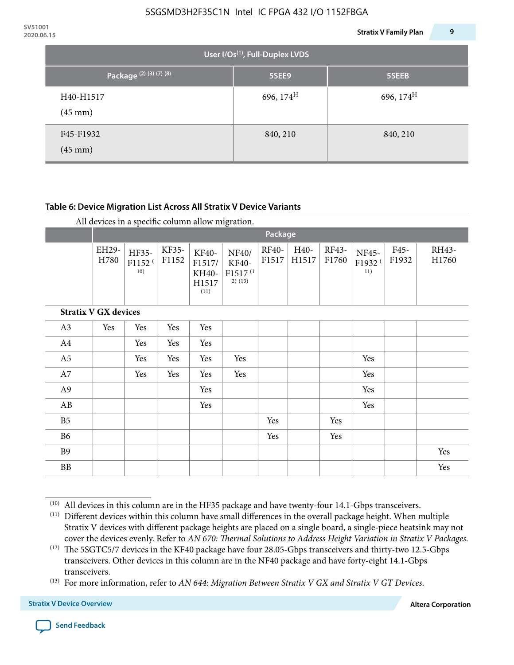| 2020.06.15 |                                |                                             | 9<br><b>Stratix V Family Plan</b> |
|------------|--------------------------------|---------------------------------------------|-----------------------------------|
|            |                                | User I/Os <sup>(1)</sup> , Full-Duplex LVDS |                                   |
|            | Package (2) (3) (7) (8)        | 5SEE9                                       | 5SEEB                             |
|            | H40-H1517<br>$(45 \text{ mm})$ | 696, $174^H$                                | 696, $174^{\text{H}}$             |
|            | F45-F1932<br>$(45 \text{ mm})$ | 840, 210                                    | 840, 210                          |

### **Table 6: Device Migration List Across All Stratix V Device Variants**

|  |  | All devices in a specific column allow migration. |
|--|--|---------------------------------------------------|
|--|--|---------------------------------------------------|

|                             |               | Package                            |                |                                           |                                                    |                       |               |                |                                    |               |                |
|-----------------------------|---------------|------------------------------------|----------------|-------------------------------------------|----------------------------------------------------|-----------------------|---------------|----------------|------------------------------------|---------------|----------------|
|                             | EH29-<br>H780 | HF35-<br>F1152 <sup>(</sup><br>10) | KF35-<br>F1152 | KF40-<br>F1517/<br>KH40-<br>H1517<br>(11) | NF40/<br>KF40-<br>F1517 <sup>(1</sup><br>$2)$ (13) | <b>RF40-</b><br>F1517 | H40-<br>H1517 | RF43-<br>F1760 | NF45-<br>F1932 <sup>(</sup><br>11) | F45-<br>F1932 | RH43-<br>H1760 |
| <b>Stratix V GX devices</b> |               |                                    |                |                                           |                                                    |                       |               |                |                                    |               |                |
| A3                          | Yes           | Yes                                | Yes            | Yes                                       |                                                    |                       |               |                |                                    |               |                |
| A4                          |               | Yes                                | Yes            | Yes                                       |                                                    |                       |               |                |                                    |               |                |
| A <sub>5</sub>              |               | Yes                                | Yes            | Yes                                       | Yes                                                |                       |               |                | Yes                                |               |                |
| A7                          |               | Yes                                | Yes            | Yes                                       | Yes                                                |                       |               |                | Yes                                |               |                |
| A9                          |               |                                    |                | Yes                                       |                                                    |                       |               |                | Yes                                |               |                |
| AB                          |               |                                    |                | Yes                                       |                                                    |                       |               |                | Yes                                |               |                |
| B <sub>5</sub>              |               |                                    |                |                                           |                                                    | Yes                   |               | Yes            |                                    |               |                |
| <b>B6</b>                   |               |                                    |                |                                           |                                                    | Yes                   |               | Yes            |                                    |               |                |
| <b>B9</b>                   |               |                                    |                |                                           |                                                    |                       |               |                |                                    |               | Yes            |
| <b>BB</b>                   |               |                                    |                |                                           |                                                    |                       |               |                |                                    |               | Yes            |

 $(10)$  All devices in this column are in the HF35 package and have twenty-four 14.1-Gbps transceivers.



<sup>(11)</sup> Different devices within this column have small differences in the overall package height. When multiple Stratix V devices with different package heights are placed on a single board, a single-piece heatsink may not cover the devices evenly. Refer to *AN 670: Thermal Solutions to Address Height Variation in Stratix V Packages*.

<sup>(12)</sup> The 5SGTC5/7 devices in the KF40 package have four 28.05-Gbps transceivers and thirty-two 12.5-Gbps transceivers. Other devices in this column are in the NF40 package and have forty-eight 14.1-Gbps transceivers.

<sup>(13)</sup> For more information, refer to *AN 644: Migration Between Stratix V GX and Stratix V GT Devices*.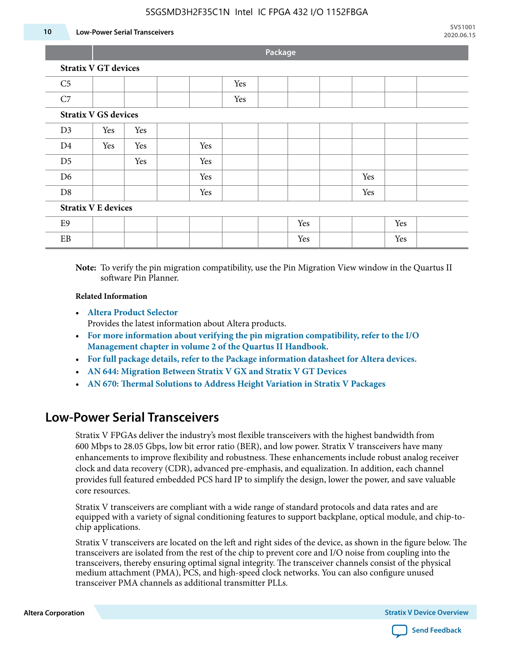#### **10 Low-Power Serial Transceivers**

**Package**

| C <sub>5</sub>             |                             |     |     | Yes |  |     |     |     |  |
|----------------------------|-----------------------------|-----|-----|-----|--|-----|-----|-----|--|
| C7                         |                             |     |     | Yes |  |     |     |     |  |
|                            | <b>Stratix V GS devices</b> |     |     |     |  |     |     |     |  |
| D3                         | Yes                         | Yes |     |     |  |     |     |     |  |
| D <sub>4</sub>             | Yes                         | Yes | Yes |     |  |     |     |     |  |
| D <sub>5</sub>             |                             | Yes | Yes |     |  |     |     |     |  |
| D <sub>6</sub>             |                             |     | Yes |     |  |     | Yes |     |  |
| D <sub>8</sub>             |                             |     | Yes |     |  |     | Yes |     |  |
| <b>Stratix V E devices</b> |                             |     |     |     |  |     |     |     |  |
| E9                         |                             |     |     |     |  | Yes |     | Yes |  |
| EB                         |                             |     |     |     |  | Yes |     | Yes |  |

**Note:** To verify the pin migration compatibility, use the Pin Migration View window in the Quartus II software Pin Planner.

#### **Related Information**

• **[Altera Product Selector](http://www.altera.com/products/selector/psg-selector.html#)**

Provides the latest information about Altera products.

- **[For more information about verifying the pin migration compatibility, refer to the I/O](http://www.altera.com/literature/hb/qts/qts_qii52013.pdf) [Management chapter in volume 2 of the Quartus II Handbook.](http://www.altera.com/literature/hb/qts/qts_qii52013.pdf)**
- **[For full package details, refer to the Package information datasheet for Altera devices.](http://www.altera.com/support/devices/packaging/specifications/pkg-pin/spe-index.jsp)**
- **[AN 644: Migration Between Stratix V GX and Stratix V GT Devices](http://www.altera.com/literature/an/an644.pdf)**
- **[AN 670: Thermal Solutions to Address Height Variation in Stratix V Packages](http://www.altera.com/literature/an/an670.pdf)**

### **Low-Power Serial Transceivers**

Stratix V FPGAs deliver the industry's most flexible transceivers with the highest bandwidth from 600 Mbps to 28.05 Gbps, low bit error ratio (BER), and low power. Stratix V transceivers have many enhancements to improve flexibility and robustness. These enhancements include robust analog receiver clock and data recovery (CDR), advanced pre-emphasis, and equalization. In addition, each channel provides full featured embedded PCS hard IP to simplify the design, lower the power, and save valuable core resources.

Stratix V transceivers are compliant with a wide range of standard protocols and data rates and are equipped with a variety of signal conditioning features to support backplane, optical module, and chip-tochip applications.

Stratix V transceivers are located on the left and right sides of the device, as shown in the figure below. The transceivers are isolated from the rest of the chip to prevent core and I/O noise from coupling into the transceivers, thereby ensuring optimal signal integrity. The transceiver channels consist of the physical medium attachment (PMA), PCS, and high-speed clock networks. You can also configure unused transceiver PMA channels as additional transmitter PLLs.

**Altera Corporation Stratix V Device Overview**

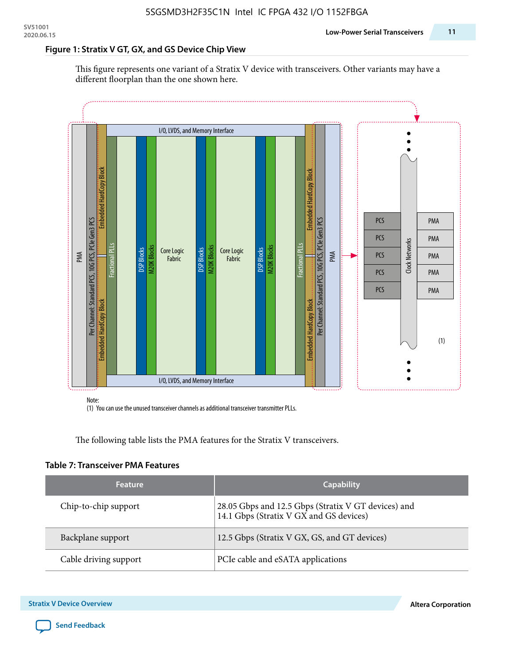#### **Figure 1: Stratix V GT, GX, and GS Device Chip View**

This figure represents one variant of a Stratix V device with transceivers. Other variants may have a different floorplan than the one shown here.



(1) You can use the unused transceiver channels as additional transceiver transmitter PLLs.

The following table lists the PMA features for the Stratix V transceivers.

#### **Table 7: Transceiver PMA Features**

| <b>Feature</b>        | <b>Capability</b>                                                                              |
|-----------------------|------------------------------------------------------------------------------------------------|
| Chip-to-chip support  | 28.05 Gbps and 12.5 Gbps (Stratix V GT devices) and<br>14.1 Gbps (Stratix V GX and GS devices) |
| Backplane support     | 12.5 Gbps (Stratix V GX, GS, and GT devices)                                                   |
| Cable driving support | PCIe cable and eSATA applications                                                              |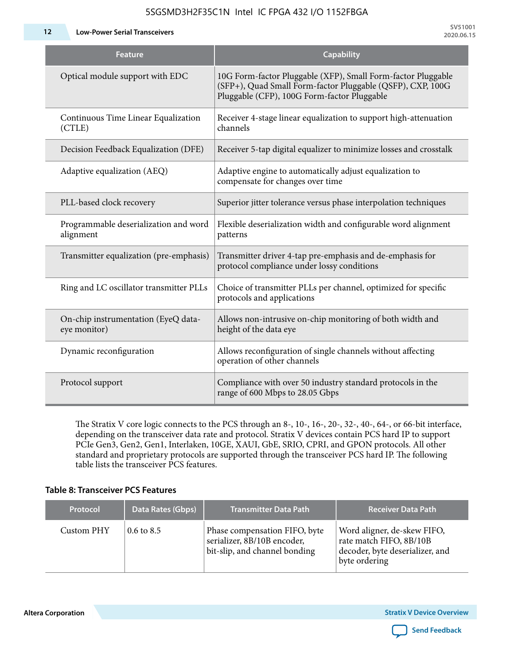**12 Low-Power Serial Transceivers**

| Feature                                             | <b>Capability</b>                                                                                                                                                         |
|-----------------------------------------------------|---------------------------------------------------------------------------------------------------------------------------------------------------------------------------|
| Optical module support with EDC                     | 10G Form-factor Pluggable (XFP), Small Form-factor Pluggable<br>(SFP+), Quad Small Form-factor Pluggable (QSFP), CXP, 100G<br>Pluggable (CFP), 100G Form-factor Pluggable |
| Continuous Time Linear Equalization<br>(CTLE)       | Receiver 4-stage linear equalization to support high-attenuation<br>channels                                                                                              |
| Decision Feedback Equalization (DFE)                | Receiver 5-tap digital equalizer to minimize losses and crosstalk                                                                                                         |
| Adaptive equalization (AEQ)                         | Adaptive engine to automatically adjust equalization to<br>compensate for changes over time                                                                               |
| PLL-based clock recovery                            | Superior jitter tolerance versus phase interpolation techniques                                                                                                           |
| Programmable deserialization and word<br>alignment  | Flexible deserialization width and configurable word alignment<br>patterns                                                                                                |
| Transmitter equalization (pre-emphasis)             | Transmitter driver 4-tap pre-emphasis and de-emphasis for<br>protocol compliance under lossy conditions                                                                   |
| Ring and LC oscillator transmitter PLLs             | Choice of transmitter PLLs per channel, optimized for specific<br>protocols and applications                                                                              |
| On-chip instrumentation (EyeQ data-<br>eye monitor) | Allows non-intrusive on-chip monitoring of both width and<br>height of the data eye                                                                                       |
| Dynamic reconfiguration                             | Allows reconfiguration of single channels without affecting<br>operation of other channels                                                                                |
| Protocol support                                    | Compliance with over 50 industry standard protocols in the<br>range of 600 Mbps to 28.05 Gbps                                                                             |

The Stratix V core logic connects to the PCS through an 8-, 10-, 16-, 20-, 32-, 40-, 64-, or 66-bit interface, depending on the transceiver data rate and protocol. Stratix V devices contain PCS hard IP to support PCIe Gen3, Gen2, Gen1, Interlaken, 10GE, XAUI, GbE, SRIO, CPRI, and GPON protocols. All other standard and proprietary protocols are supported through the transceiver PCS hard IP. The following table lists the transceiver PCS features.

### **Table 8: Transceiver PCS Features**

| <b>Protocol</b> | Data Rates (Gbps)     | <b>Transmitter Data Path</b>                                                                  | <b>Receiver Data Path</b>                                                                                  |
|-----------------|-----------------------|-----------------------------------------------------------------------------------------------|------------------------------------------------------------------------------------------------------------|
| Custom PHY      | $0.6 \text{ to } 8.5$ | Phase compensation FIFO, byte<br>serializer, 8B/10B encoder,<br>bit-slip, and channel bonding | Word aligner, de-skew FIFO,<br>rate match FIFO, 8B/10B<br>decoder, byte deserializer, and<br>byte ordering |

**Altera Corporation** 

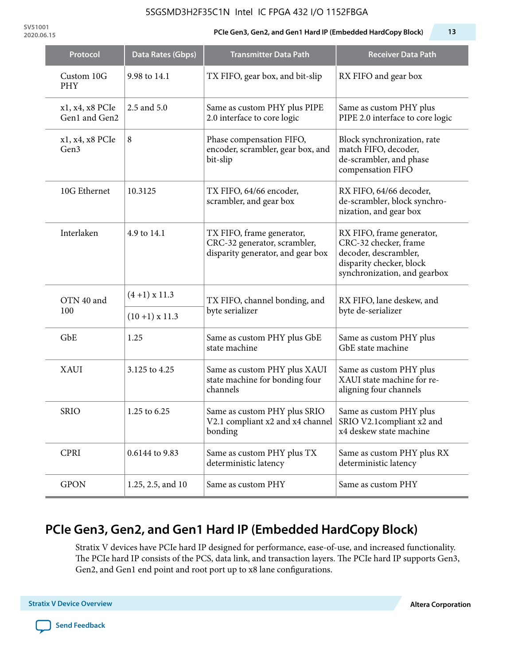**SV51001**

#### **2020.06.15 PCIe Gen3, Gen2, and Gen1 Hard IP (Embedded HardCopy Block) 13**

| Protocol                         | Data Rates (Gbps)                                                                           | <b>Transmitter Data Path</b>                                                                   | <b>Receiver Data Path</b>                                                                                                               |  |
|----------------------------------|---------------------------------------------------------------------------------------------|------------------------------------------------------------------------------------------------|-----------------------------------------------------------------------------------------------------------------------------------------|--|
| Custom 10G<br><b>PHY</b>         | 9.98 to 14.1                                                                                | TX FIFO, gear box, and bit-slip                                                                | RX FIFO and gear box                                                                                                                    |  |
| x1, x4, x8 PCIe<br>Gen1 and Gen2 | 2.5 and 5.0                                                                                 | Same as custom PHY plus PIPE<br>2.0 interface to core logic                                    | Same as custom PHY plus<br>PIPE 2.0 interface to core logic                                                                             |  |
| x1, x4, x8 PCIe<br>Gen3          | 8                                                                                           | Phase compensation FIFO,<br>encoder, scrambler, gear box, and<br>bit-slip                      | Block synchronization, rate<br>match FIFO, decoder,<br>de-scrambler, and phase<br>compensation FIFO                                     |  |
| 10G Ethernet                     | 10.3125                                                                                     | TX FIFO, 64/66 encoder,<br>scrambler, and gear box                                             | RX FIFO, 64/66 decoder,<br>de-scrambler, block synchro-<br>nization, and gear box                                                       |  |
| Interlaken                       | 4.9 to 14.1                                                                                 | TX FIFO, frame generator,<br>CRC-32 generator, scrambler,<br>disparity generator, and gear box | RX FIFO, frame generator,<br>CRC-32 checker, frame<br>decoder, descrambler,<br>disparity checker, block<br>synchronization, and gearbox |  |
| OTN 40 and                       | $(4+1)$ x 11.3                                                                              | TX FIFO, channel bonding, and                                                                  | RX FIFO, lane deskew, and                                                                                                               |  |
| 100                              | $(10+1)$ x 11.3                                                                             | byte serializer                                                                                | byte de-serializer                                                                                                                      |  |
| GbE                              | 1.25                                                                                        | Same as custom PHY plus GbE<br>state machine                                                   | Same as custom PHY plus<br>GbE state machine                                                                                            |  |
| <b>XAUI</b>                      | 3.125 to 4.25                                                                               | Same as custom PHY plus XAUI<br>state machine for bonding four<br>channels                     | Same as custom PHY plus<br>XAUI state machine for re-<br>aligning four channels                                                         |  |
| <b>SRIO</b>                      | 1.25 to 6.25<br>Same as custom PHY plus SRIO<br>V2.1 compliant x2 and x4 channel<br>bonding |                                                                                                | Same as custom PHY plus<br>SRIO V2.1 compliant x2 and<br>x4 deskew state machine                                                        |  |
| <b>CPRI</b>                      | 0.6144 to 9.83                                                                              | Same as custom PHY plus TX<br>deterministic latency                                            | Same as custom PHY plus RX<br>deterministic latency                                                                                     |  |
| <b>GPON</b>                      | 1.25, 2.5, and 10                                                                           | Same as custom PHY                                                                             | Same as custom PHY                                                                                                                      |  |

# **PCIe Gen3, Gen2, and Gen1 Hard IP (Embedded HardCopy Block)**

Stratix V devices have PCIe hard IP designed for performance, ease-of-use, and increased functionality. The PCIe hard IP consists of the PCS, data link, and transaction layers. The PCIe hard IP supports Gen3, Gen2, and Gen1 end point and root port up to x8 lane configurations.

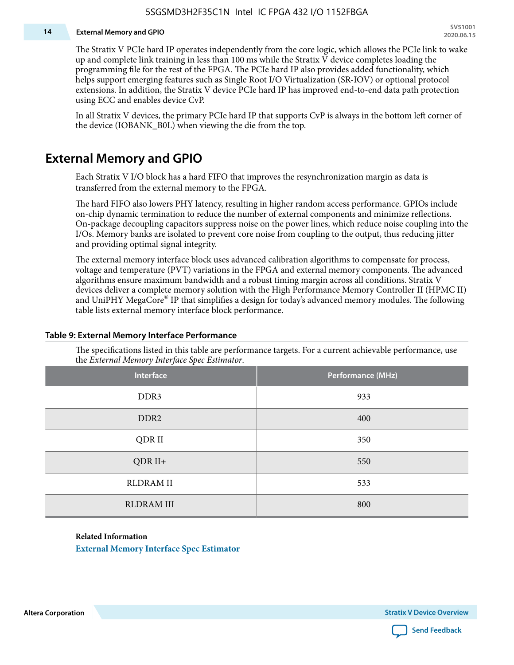#### **14 External Memory and GPIO**

The Stratix V PCIe hard IP operates independently from the core logic, which allows the PCIe link to wake up and complete link training in less than 100 ms while the Stratix V device completes loading the programming file for the rest of the FPGA. The PCIe hard IP also provides added functionality, which helps support emerging features such as Single Root I/O Virtualization (SR-IOV) or optional protocol extensions. In addition, the Stratix V device PCIe hard IP has improved end-to-end data path protection using ECC and enables device CvP.

In all Stratix V devices, the primary PCIe hard IP that supports CvP is always in the bottom left corner of the device (IOBANK\_B0L) when viewing the die from the top.

### **External Memory and GPIO**

Each Stratix V I/O block has a hard FIFO that improves the resynchronization margin as data is transferred from the external memory to the FPGA.

The hard FIFO also lowers PHY latency, resulting in higher random access performance. GPIOs include on-chip dynamic termination to reduce the number of external components and minimize reflections. On-package decoupling capacitors suppress noise on the power lines, which reduce noise coupling into the I/Os. Memory banks are isolated to prevent core noise from coupling to the output, thus reducing jitter and providing optimal signal integrity.

The external memory interface block uses advanced calibration algorithms to compensate for process, voltage and temperature (PVT) variations in the FPGA and external memory components. The advanced algorithms ensure maximum bandwidth and a robust timing margin across all conditions. Stratix V devices deliver a complete memory solution with the High Performance Memory Controller II (HPMC II) and UniPHY MegaCore® IP that simplifies a design for today's advanced memory modules. The following table lists external memory interface block performance.

| Interface         | Performance (MHz) |
|-------------------|-------------------|
| DDR3              | 933               |
| DDR <sub>2</sub>  | 400               |
| QDR II            | 350               |
| $QDR II+$         | 550               |
| <b>RLDRAM II</b>  | 533               |
| <b>RLDRAM III</b> | 800               |

#### **Table 9: External Memory Interface Performance**

The specifications listed in this table are performance targets. For a current achievable performance, use the *External Memory Interface Spec Estimator*.

#### **Related Information**

**[External Memory Interface Spec Estimator](http://www.altera.com/technology/memory/estimator/mem-emif-index.html)**

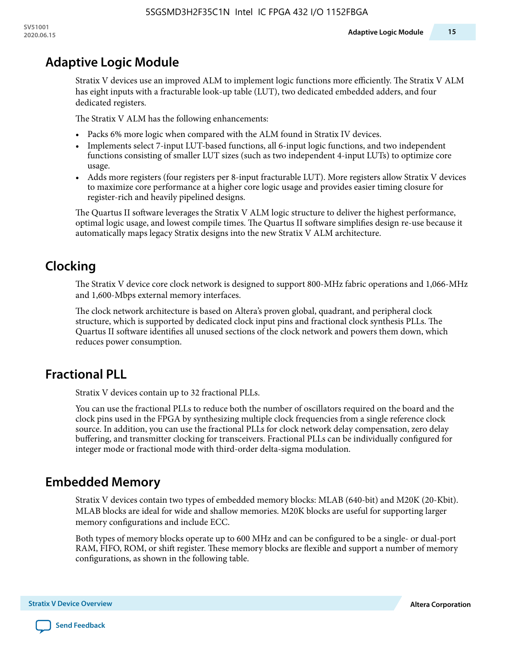# **Adaptive Logic Module**

Stratix V devices use an improved ALM to implement logic functions more efficiently. The Stratix V ALM has eight inputs with a fracturable look-up table (LUT), two dedicated embedded adders, and four dedicated registers.

The Stratix V ALM has the following enhancements:

- Packs 6% more logic when compared with the ALM found in Stratix IV devices.
- Implements select 7-input LUT-based functions, all 6-input logic functions, and two independent functions consisting of smaller LUT sizes (such as two independent 4-input LUTs) to optimize core usage.
- Adds more registers (four registers per 8-input fracturable LUT). More registers allow Stratix V devices to maximize core performance at a higher core logic usage and provides easier timing closure for register-rich and heavily pipelined designs.

The Quartus II software leverages the Stratix V ALM logic structure to deliver the highest performance, optimal logic usage, and lowest compile times. The Quartus II software simplifies design re-use because it automatically maps legacy Stratix designs into the new Stratix V ALM architecture.

# **Clocking**

The Stratix V device core clock network is designed to support 800-MHz fabric operations and 1,066-MHz and 1,600-Mbps external memory interfaces.

The clock network architecture is based on Altera's proven global, quadrant, and peripheral clock structure, which is supported by dedicated clock input pins and fractional clock synthesis PLLs. The Quartus II software identifies all unused sections of the clock network and powers them down, which reduces power consumption.

# **Fractional PLL**

Stratix V devices contain up to 32 fractional PLLs.

You can use the fractional PLLs to reduce both the number of oscillators required on the board and the clock pins used in the FPGA by synthesizing multiple clock frequencies from a single reference clock source. In addition, you can use the fractional PLLs for clock network delay compensation, zero delay buffering, and transmitter clocking for transceivers. Fractional PLLs can be individually configured for integer mode or fractional mode with third-order delta-sigma modulation.

# **Embedded Memory**

Stratix V devices contain two types of embedded memory blocks: MLAB (640-bit) and M20K (20-Kbit). MLAB blocks are ideal for wide and shallow memories. M20K blocks are useful for supporting larger memory configurations and include ECC.

Both types of memory blocks operate up to 600 MHz and can be configured to be a single- or dual-port RAM, FIFO, ROM, or shift register. These memory blocks are flexible and support a number of memory configurations, as shown in the following table.

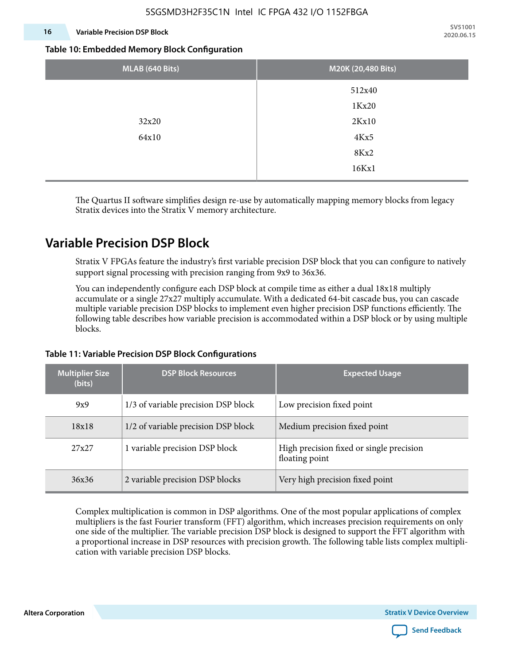### **16 Variable Precision DSP Block**

**SV51001 2020.06.15**

#### **Table 10: Embedded Memory Block Configuration**

| MLAB (640 Bits) | M20K (20,480 Bits) |
|-----------------|--------------------|
|                 | 512x40             |
|                 | 1Kx20              |
| 32x20           | 2Kx10              |
| 64x10           | 4Kx5               |
|                 | 8Kx2               |
|                 | 16Kx1              |

The Quartus II software simplifies design re-use by automatically mapping memory blocks from legacy Stratix devices into the Stratix V memory architecture.

### **Variable Precision DSP Block**

Stratix V FPGAs feature the industry's first variable precision DSP block that you can configure to natively support signal processing with precision ranging from 9x9 to 36x36.

You can independently configure each DSP block at compile time as either a dual 18x18 multiply accumulate or a single 27x27 multiply accumulate. With a dedicated 64-bit cascade bus, you can cascade multiple variable precision DSP blocks to implement even higher precision DSP functions efficiently. The following table describes how variable precision is accommodated within a DSP block or by using multiple blocks.

| <b>Multiplier Size</b><br>(bits) | <b>DSP Block Resources</b>          | <b>Expected Usage</b>                                      |
|----------------------------------|-------------------------------------|------------------------------------------------------------|
| 9x9                              | 1/3 of variable precision DSP block | Low precision fixed point                                  |
| 18x18                            | 1/2 of variable precision DSP block | Medium precision fixed point                               |
| 27x27                            | 1 variable precision DSP block      | High precision fixed or single precision<br>floating point |
| 36x36                            | 2 variable precision DSP blocks     | Very high precision fixed point                            |

#### **Table 11: Variable Precision DSP Block Configurations**

Complex multiplication is common in DSP algorithms. One of the most popular applications of complex multipliers is the fast Fourier transform (FFT) algorithm, which increases precision requirements on only one side of the multiplier. The variable precision DSP block is designed to support the FFT algorithm with a proportional increase in DSP resources with precision growth. The following table lists complex multipli‐ cation with variable precision DSP blocks.

**Altera Corporation** 

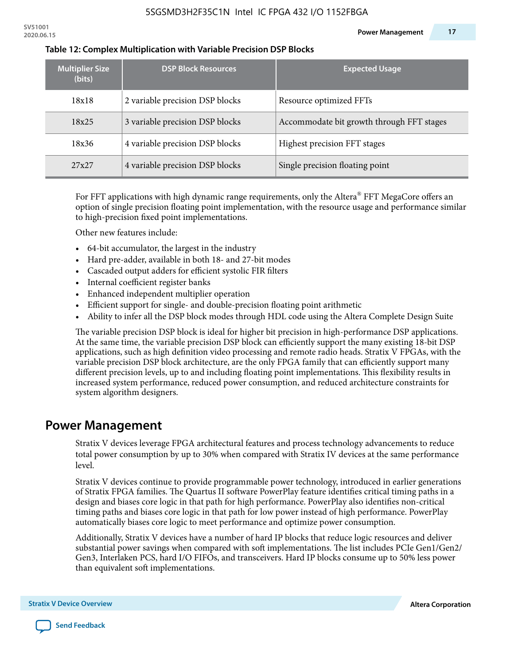| <b>Multiplier Size</b><br>(bits) | <b>DSP Block Resources</b>      | <b>Expected Usage</b>                     |
|----------------------------------|---------------------------------|-------------------------------------------|
| 18x18                            | 2 variable precision DSP blocks | Resource optimized FFTs                   |
| 18x25                            | 3 variable precision DSP blocks | Accommodate bit growth through FFT stages |
| 18x36                            | 4 variable precision DSP blocks | Highest precision FFT stages              |
| 27x27                            | 4 variable precision DSP blocks | Single precision floating point           |

#### **Table 12: Complex Multiplication with Variable Precision DSP Blocks**

For FFT applications with high dynamic range requirements, only the Altera $^\circ$  FFT MegaCore offers an option of single precision floating point implementation, with the resource usage and performance similar to high-precision fixed point implementations.

Other new features include:

- 64-bit accumulator, the largest in the industry
- Hard pre-adder, available in both 18- and 27-bit modes
- Cascaded output adders for efficient systolic FIR filters
- Internal coefficient register banks
- Enhanced independent multiplier operation
- Efficient support for single- and double-precision floating point arithmetic
- Ability to infer all the DSP block modes through HDL code using the Altera Complete Design Suite

The variable precision DSP block is ideal for higher bit precision in high-performance DSP applications. At the same time, the variable precision DSP block can efficiently support the many existing 18-bit DSP applications, such as high definition video processing and remote radio heads. Stratix V FPGAs, with the variable precision DSP block architecture, are the only FPGA family that can efficiently support many different precision levels, up to and including floating point implementations. This flexibility results in increased system performance, reduced power consumption, and reduced architecture constraints for system algorithm designers.

### **Power Management**

Stratix V devices leverage FPGA architectural features and process technology advancements to reduce total power consumption by up to 30% when compared with Stratix IV devices at the same performance level.

Stratix V devices continue to provide programmable power technology, introduced in earlier generations of Stratix FPGA families. The Quartus II software PowerPlay feature identifies critical timing paths in a design and biases core logic in that path for high performance. PowerPlay also identifies non-critical timing paths and biases core logic in that path for low power instead of high performance. PowerPlay automatically biases core logic to meet performance and optimize power consumption.

Additionally, Stratix V devices have a number of hard IP blocks that reduce logic resources and deliver substantial power savings when compared with soft implementations. The list includes PCIe Gen1/Gen2/ Gen3, Interlaken PCS, hard I/O FIFOs, and transceivers. Hard IP blocks consume up to 50% less power than equivalent soft implementations.

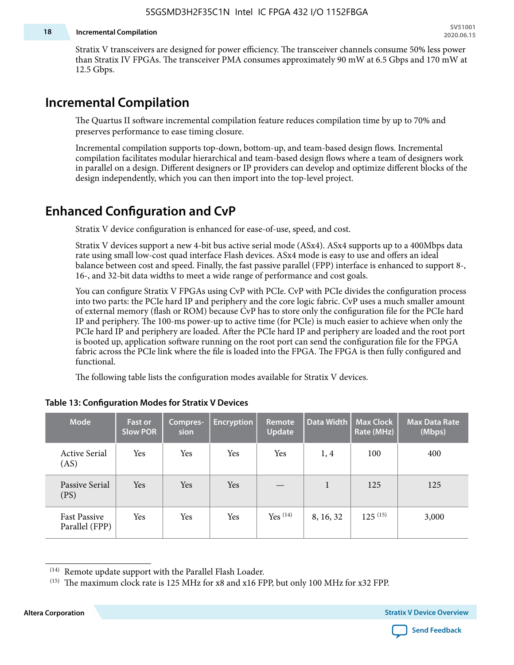#### **18 Incremental Compilation**

Stratix V transceivers are designed for power efficiency. The transceiver channels consume 50% less power than Stratix IV FPGAs. The transceiver PMA consumes approximately 90 mW at 6.5 Gbps and 170 mW at 12.5 Gbps.

# **Incremental Compilation**

The Quartus II software incremental compilation feature reduces compilation time by up to 70% and preserves performance to ease timing closure.

Incremental compilation supports top-down, bottom-up, and team-based design flows. Incremental compilation facilitates modular hierarchical and team-based design flows where a team of designers work in parallel on a design. Different designers or IP providers can develop and optimize different blocks of the design independently, which you can then import into the top-level project.

# **Enhanced Configuration and CvP**

Stratix V device configuration is enhanced for ease-of-use, speed, and cost.

Stratix V devices support a new 4-bit bus active serial mode (ASx4). ASx4 supports up to a 400Mbps data rate using small low-cost quad interface Flash devices. ASx4 mode is easy to use and offers an ideal balance between cost and speed. Finally, the fast passive parallel (FPP) interface is enhanced to support 8-, 16-, and 32-bit data widths to meet a wide range of performance and cost goals.

You can configure Stratix V FPGAs using CvP with PCIe. CvP with PCIe divides the configuration process into two parts: the PCIe hard IP and periphery and the core logic fabric. CvP uses a much smaller amount of external memory (flash or ROM) because CvP has to store only the configuration file for the PCIe hard IP and periphery. The 100-ms power-up to active time (for PCIe) is much easier to achieve when only the PCIe hard IP and periphery are loaded. After the PCIe hard IP and periphery are loaded and the root port is booted up, application software running on the root port can send the configuration file for the FPGA fabric across the PCIe link where the file is loaded into the FPGA. The FPGA is then fully configured and functional.

The following table lists the configuration modes available for Stratix V devices.

| <b>Mode</b>                           | <b>Fast or</b><br><b>Slow POR</b> | Compres-<br>sion | <b>Encryption</b> | <b>Remote</b><br><b>Update</b> | Data Width | <b>Max Clock</b><br>Rate (MHz) | <b>Max Data Rate</b><br>(Mbps) |
|---------------------------------------|-----------------------------------|------------------|-------------------|--------------------------------|------------|--------------------------------|--------------------------------|
| <b>Active Serial</b><br>(AS)          | Yes                               | Yes              | Yes               | Yes                            | 1, 4       | 100                            | 400                            |
| Passive Serial<br>(PS)                | Yes                               | Yes              | Yes               |                                | 1          | 125                            | 125                            |
| <b>Fast Passive</b><br>Parallel (FPP) | Yes                               | Yes              | Yes               | Yes $(14)$                     | 8, 16, 32  | $125^{(15)}$                   | 3,000                          |

#### **Table 13: Configuration Modes for Stratix V Devices**

**Altera Corporation Stratix V Device Overview**



<sup>(14)</sup> Remote update support with the Parallel Flash Loader.

<sup>&</sup>lt;sup>(15)</sup> The maximum clock rate is 125 MHz for x8 and x16 FPP, but only 100 MHz for x32 FPP.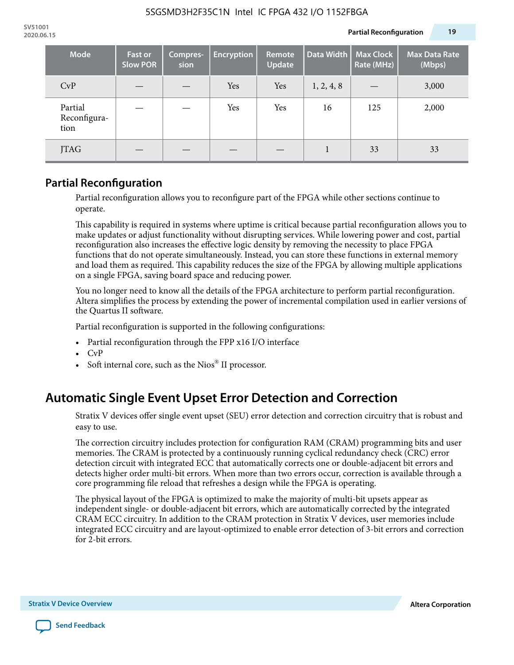| <b>Mode</b>                     | <b>Fast or</b><br><b>Slow POR</b> | Compres-<br>sion | <b>Encryption</b> | <b>Remote</b><br><b>Update</b> | Data Width | <b>Max Clock</b><br>Rate (MHz) | <b>Max Data Rate</b><br>(Mbps) |
|---------------------------------|-----------------------------------|------------------|-------------------|--------------------------------|------------|--------------------------------|--------------------------------|
| CvP                             |                                   |                  | Yes               | Yes                            | 1, 2, 4, 8 |                                | 3,000                          |
| Partial<br>Reconfigura-<br>tion |                                   |                  | Yes               | Yes                            | 16         | 125                            | 2,000                          |
| JTAG                            |                                   |                  |                   |                                |            | 33                             | 33                             |

### **Partial Reconfiguration**

Partial reconfiguration allows you to reconfigure part of the FPGA while other sections continue to operate.

This capability is required in systems where uptime is critical because partial reconfiguration allows you to make updates or adjust functionality without disrupting services. While lowering power and cost, partial reconfiguration also increases the effective logic density by removing the necessity to place FPGA functions that do not operate simultaneously. Instead, you can store these functions in external memory and load them as required. This capability reduces the size of the FPGA by allowing multiple applications on a single FPGA, saving board space and reducing power.

You no longer need to know all the details of the FPGA architecture to perform partial reconfiguration. Altera simplifies the process by extending the power of incremental compilation used in earlier versions of the Quartus II software.

Partial reconfiguration is supported in the following configurations:

- Partial reconfiguration through the FPP x16 I/O interface
- CvP
- Soft internal core, such as the Nios® II processor.

# **Automatic Single Event Upset Error Detection and Correction**

Stratix V devices offer single event upset (SEU) error detection and correction circuitry that is robust and easy to use.

The correction circuitry includes protection for configuration RAM (CRAM) programming bits and user memories. The CRAM is protected by a continuously running cyclical redundancy check (CRC) error detection circuit with integrated ECC that automatically corrects one or double-adjacent bit errors and detects higher order multi-bit errors. When more than two errors occur, correction is available through a core programming file reload that refreshes a design while the FPGA is operating.

The physical layout of the FPGA is optimized to make the majority of multi-bit upsets appear as independent single- or double-adjacent bit errors, which are automatically corrected by the integrated CRAM ECC circuitry. In addition to the CRAM protection in Stratix V devices, user memories include integrated ECC circuitry and are layout-optimized to enable error detection of 3-bit errors and correction for 2-bit errors.

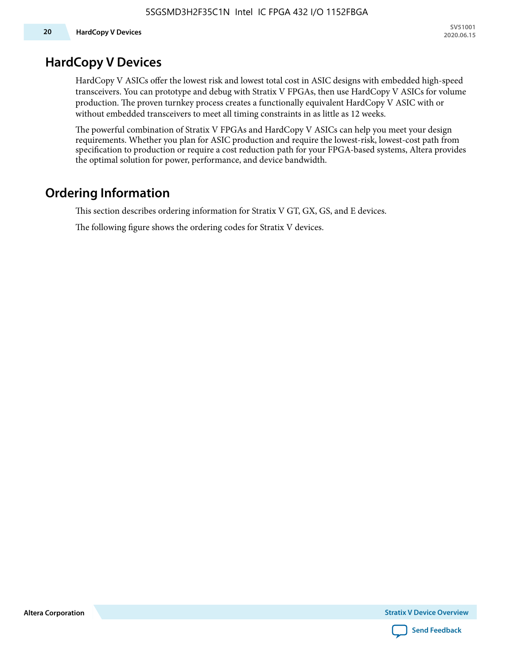### **HardCopy V Devices**

HardCopy V ASICs offer the lowest risk and lowest total cost in ASIC designs with embedded high-speed transceivers. You can prototype and debug with Stratix V FPGAs, then use HardCopy V ASICs for volume production. The proven turnkey process creates a functionally equivalent HardCopy V ASIC with or without embedded transceivers to meet all timing constraints in as little as 12 weeks.

The powerful combination of Stratix V FPGAs and HardCopy V ASICs can help you meet your design requirements. Whether you plan for ASIC production and require the lowest-risk, lowest-cost path from specification to production or require a cost reduction path for your FPGA-based systems, Altera provides the optimal solution for power, performance, and device bandwidth.

# **Ordering Information**

This section describes ordering information for Stratix V GT, GX, GS, and E devices.

The following figure shows the ordering codes for Stratix V devices.

**Altera Corporation** 

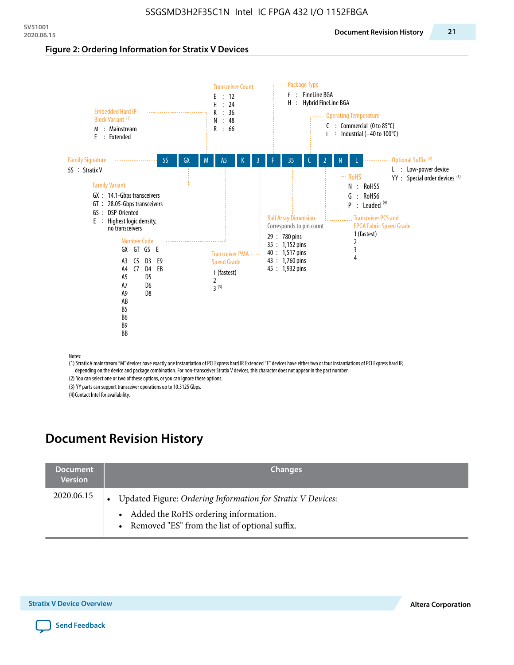#### **Figure 2: Ordering Information for Stratix V Devices**



(1) Stratix V mainstream "M" devices have exactly one instantiation of PCI Express hard IP. Extended "E" devices have either two or four instantiations of PCI Express hard IP, depending on the device and package combination. For non-transceiver Stratix V devices, this character does not appear in the part number.

(2) You can select one or two of these options, or you can ignore these options.

(3) YY parts can support transceiver operations up to 10.3125 Gbps.

(4) Contact Intel for availability.

# **Document Revision History**

| <b>Document</b><br><b>Version</b> | <b>Changes</b>                                                                                                                                            |
|-----------------------------------|-----------------------------------------------------------------------------------------------------------------------------------------------------------|
| 2020.06.15                        | Updated Figure: Ordering Information for Stratix V Devices:<br>• Added the RoHS ordering information.<br>• Removed "ES" from the list of optional suffix. |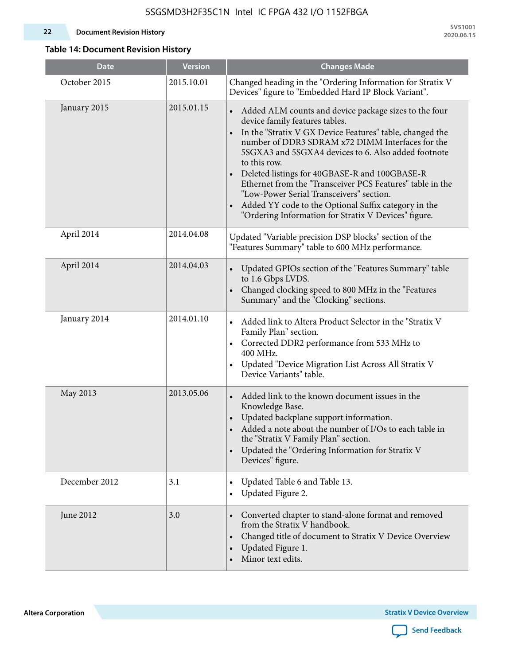#### **22 Document Revision History**

**SV51001 2020.06.15**

### **Table 14: Document Revision History**

| <b>Date</b>   | <b>Version</b> | <b>Changes Made</b>                                                                                                                                                                                                                                                                                                                                                                                                                                                                                                                                                                             |
|---------------|----------------|-------------------------------------------------------------------------------------------------------------------------------------------------------------------------------------------------------------------------------------------------------------------------------------------------------------------------------------------------------------------------------------------------------------------------------------------------------------------------------------------------------------------------------------------------------------------------------------------------|
| October 2015  | 2015.10.01     | Changed heading in the "Ordering Information for Stratix V<br>Devices" figure to "Embedded Hard IP Block Variant".                                                                                                                                                                                                                                                                                                                                                                                                                                                                              |
| January 2015  | 2015.01.15     | Added ALM counts and device package sizes to the four<br>$\bullet$<br>device family features tables.<br>In the "Stratix V GX Device Features" table, changed the<br>$\bullet$<br>number of DDR3 SDRAM x72 DIMM Interfaces for the<br>5SGXA3 and 5SGXA4 devices to 6. Also added footnote<br>to this row.<br>Deleted listings for 40GBASE-R and 100GBASE-R<br>Ethernet from the "Transceiver PCS Features" table in the<br>"Low-Power Serial Transceivers" section.<br>Added YY code to the Optional Suffix category in the<br>$\bullet$<br>"Ordering Information for Stratix V Devices" figure. |
| April 2014    | 2014.04.08     | Updated "Variable precision DSP blocks" section of the<br>"Features Summary" table to 600 MHz performance.                                                                                                                                                                                                                                                                                                                                                                                                                                                                                      |
| April 2014    | 2014.04.03     | Updated GPIOs section of the "Features Summary" table<br>$\bullet$<br>to 1.6 Gbps LVDS.<br>Changed clocking speed to 800 MHz in the "Features<br>Summary" and the "Clocking" sections.                                                                                                                                                                                                                                                                                                                                                                                                          |
| January 2014  | 2014.01.10     | Added link to Altera Product Selector in the "Stratix V<br>Family Plan" section.<br>Corrected DDR2 performance from 533 MHz to<br>$\bullet$<br>400 MHz.<br>Updated "Device Migration List Across All Stratix V<br>Device Variants" table.                                                                                                                                                                                                                                                                                                                                                       |
| May 2013      | 2013.05.06     | Added link to the known document issues in the<br>Knowledge Base.<br>Updated backplane support information.<br>Added a note about the number of I/Os to each table in<br>the "Stratix V Family Plan" section.<br>Updated the "Ordering Information for Stratix V<br>$\bullet$<br>Devices" figure.                                                                                                                                                                                                                                                                                               |
| December 2012 | 3.1            | Updated Table 6 and Table 13.<br>$\bullet$<br>Updated Figure 2.<br>$\bullet$                                                                                                                                                                                                                                                                                                                                                                                                                                                                                                                    |
| June 2012     | 3.0            | Converted chapter to stand-alone format and removed<br>$\bullet$<br>from the Stratix V handbook.<br>Changed title of document to Stratix V Device Overview<br>$\bullet$<br>Updated Figure 1.<br>$\bullet$<br>Minor text edits.                                                                                                                                                                                                                                                                                                                                                                  |

**Altera Corporation** 

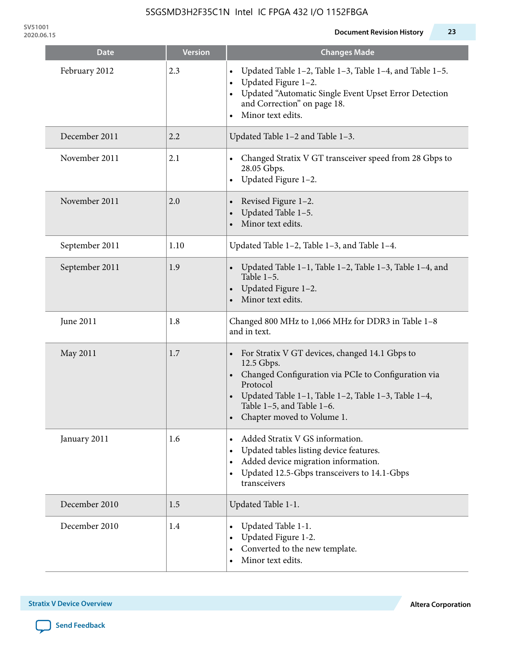| Date           | <b>Version</b> | <b>Changes Made</b>                                                                                                                                                                                                                                            |
|----------------|----------------|----------------------------------------------------------------------------------------------------------------------------------------------------------------------------------------------------------------------------------------------------------------|
| February 2012  | 2.3            | Updated Table 1-2, Table 1-3, Table 1-4, and Table 1-5.<br>Updated Figure 1-2.<br>$\bullet$<br>Updated "Automatic Single Event Upset Error Detection<br>and Correction" on page 18.<br>Minor text edits.                                                       |
| December 2011  | 2.2            | Updated Table 1-2 and Table 1-3.                                                                                                                                                                                                                               |
| November 2011  | 2.1            | Changed Stratix V GT transceiver speed from 28 Gbps to<br>28.05 Gbps.<br>Updated Figure 1-2.<br>$\bullet$                                                                                                                                                      |
| November 2011  | 2.0            | Revised Figure 1-2.<br>Updated Table 1-5.<br>Minor text edits.                                                                                                                                                                                                 |
| September 2011 | 1.10           | Updated Table 1-2, Table 1-3, and Table 1-4.                                                                                                                                                                                                                   |
| September 2011 | 1.9            | Updated Table 1–1, Table 1–2, Table 1–3, Table 1–4, and<br>Table $1-5$ .<br>Updated Figure 1-2.<br>Minor text edits.                                                                                                                                           |
| June 2011      | 1.8            | Changed 800 MHz to 1,066 MHz for DDR3 in Table 1-8<br>and in text.                                                                                                                                                                                             |
| May 2011       | 1.7            | For Stratix V GT devices, changed 14.1 Gbps to<br>12.5 Gbps.<br>Changed Configuration via PCIe to Configuration via<br>Protocol<br>Updated Table 1–1, Table 1–2, Table 1–3, Table 1–4,<br>$\bullet$<br>Table 1-5, and Table 1-6.<br>Chapter moved to Volume 1. |
| January 2011   | 1.6            | Added Stratix V GS information.<br>Updated tables listing device features.<br>$\bullet$<br>Added device migration information.<br>$\bullet$<br>Updated 12.5-Gbps transceivers to 14.1-Gbps<br>transceivers                                                     |
| December 2010  | 1.5            | Updated Table 1-1.                                                                                                                                                                                                                                             |
| December 2010  | 1.4            | Updated Table 1-1.<br>Updated Figure 1-2.<br>Converted to the new template.<br>Minor text edits.                                                                                                                                                               |

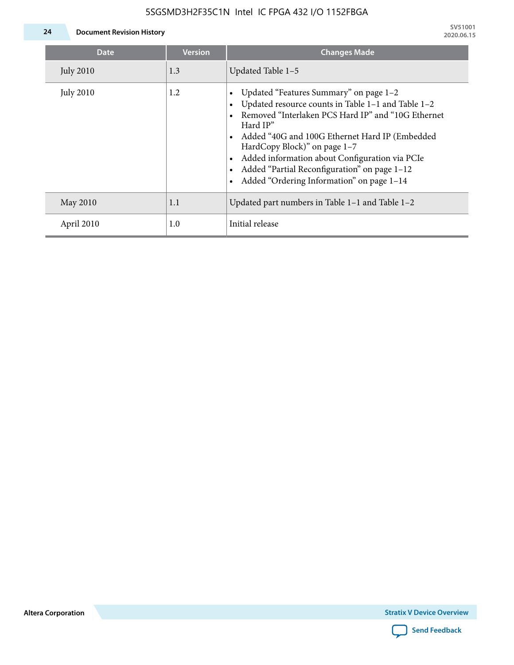

| <b>Date</b>      | <b>Version</b> | <b>Changes Made</b>                                                                                                                                                                                                                                                                                                                                                                             |
|------------------|----------------|-------------------------------------------------------------------------------------------------------------------------------------------------------------------------------------------------------------------------------------------------------------------------------------------------------------------------------------------------------------------------------------------------|
| <b>July 2010</b> | 1.3            | Updated Table 1-5                                                                                                                                                                                                                                                                                                                                                                               |
| <b>July 2010</b> | 1.2            | Updated "Features Summary" on page 1-2<br>Updated resource counts in Table 1-1 and Table 1-2<br>Removed "Interlaken PCS Hard IP" and "10G Ethernet<br>Hard IP"<br>Added "40G and 100G Ethernet Hard IP (Embedded<br>HardCopy Block)" on page 1-7<br>Added information about Configuration via PCIe<br>Added "Partial Reconfiguration" on page 1-12<br>Added "Ordering Information" on page 1-14 |
| May 2010         | 1.1            | Updated part numbers in Table $1-1$ and Table $1-2$                                                                                                                                                                                                                                                                                                                                             |
| April 2010       | 1.0            | Initial release                                                                                                                                                                                                                                                                                                                                                                                 |

**Altera Corporation**